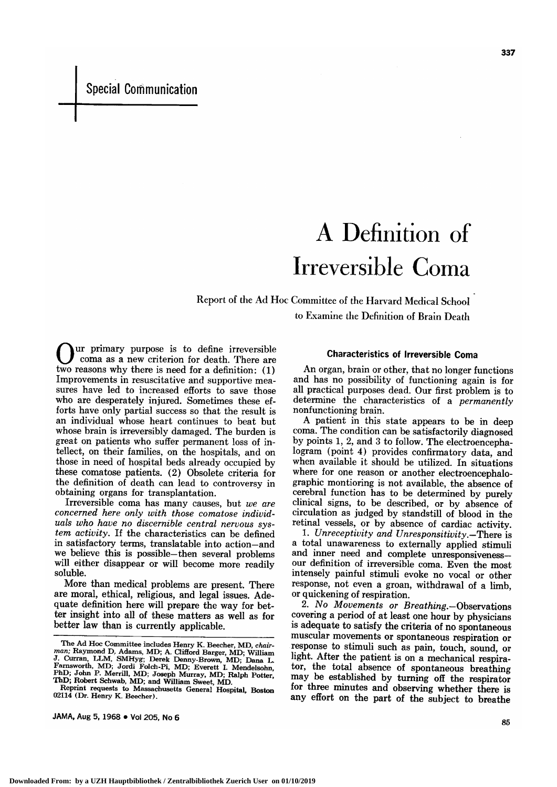# A Definition of Irreversible Coma

Report of the Ad Hoc Committee of the Harvard Medical School to Examine the Definition of Brain Death

ur primary purpose is to define irreversible coma as a new criterion for death. There are two reasons why there is need for a definition: (1) Improvements in resuscitative and supportive measures have led to increased efforts to save those who are desperately injured. Sometimes these efforts have only partial success so that the result is an individual whose heart continues to beat but whose brain is irreversibly damaged. The burden is great on patients who suffer permanent loss of intellect, on their families, on the hospitals, and on those in need of hospital beds already occupied by these comatose patients. (2) Obsolete criteria for the definition of death can lead to controversy in obtaining organs for transplantation.

Irreversible coma has many causes, but we are concerned here only with those comatose individuals who have no discernible central nervous system activity. If the characteristics can be defined in satisfactory terms, translatable into action-and we believe this is possible-then several problems will either disappear or will become more readily soluble.

More than medical problems are present. There are moral, ethical, religious, and legal issues. Adequate definition here will prepare the way for better insight into all of these matters as well as for better law than is currently applicable.

### Characteristics of Irreversible Coma

An organ, brain or other, that no longer functions and has no possibility of functioning again is for all practical purposes dead. Our first problem is to determine the characteristics of <sup>a</sup> permanently nonfunctioning brain.

A patient in this state appears to be in deep coma. The condition can be satisfactorily diagnosed by points 1, 2, and 3 to follow. The electroencepha-<br>logram (point 4) provides confirmatory data, and when available it should be utilized. In situations where for one reason or another electroencephalographic montioring is not available, the absence of cerebral function has to be determined by purely clinical signs, to be described, or by absence of circulation as judged by standstill of blood in the retinal vessels, or by absence of cardiac activity.<br>1. Unreceptivity and Unresponsitivity.—There is

<sup>a</sup> total unawareness to externally applied stimuli and inner need and complete unresponsiveness— our definition of irreversible coma. Even the most intensely painful stimuli evoke no vocal or other response, not even <sup>a</sup> groan, withdrawal of <sup>a</sup> limb, or quickening of respiration.

2. No Movements or Breathing. - Observations covering a period of at least one hour by physicians is adequate to satisfy the criteria of no spontaneous<br>muscular movements or spontaneous respiration or<br>response to stimuli such as pain, touch, sound, or light. After the patient is on a mechanical respirator, the total absence of spontaneous breathing may be established by turning off the respirator for three minutes and observing whether there is any effort on the part of the subject to breathe

The Ad Hoc Committee includes Henry K. Beecher, MD, chairman; Raymond D, Adams, MD; A. Clifford Barger, MD; William<br>J. Curran, LLM, SMHyg; Derek Denny-Brown, MD; Dana L.<br>Farnsworth, MD; Jordi Folch-Pi, MD; Everett I. Mendelsohn,<br>PhD; John P. Merrill, MD; Joseph Murray, MD; Ralph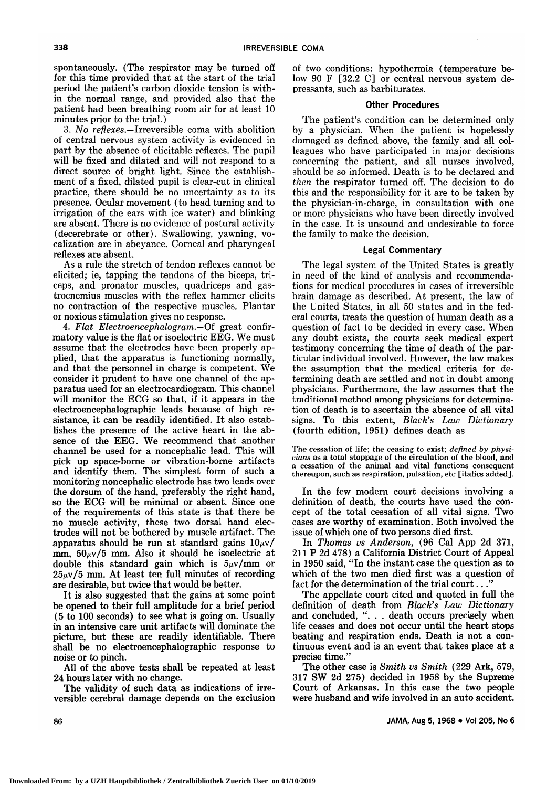spontaneously. (The respirator may be turned off for this time provided that at the start of the trial period the patient's carbon dioxide tension is within the normal range, and provided also that the patient had been breathing room air for at least <sup>10</sup> minutes prior to the trial.)

3. No reflexes.—Irreversible coma with abolition of central nervous system activity is evidenced in part by the absence of elicitable reflexes. The pupil will be fixed and dilated and will not respond to <sup>a</sup> direct source of bright light. Since the establishment of <sup>a</sup> fixed, dilated pupil is clear-cut in clinical practice, there should be no uncertainty as to its presence. Ocular movement (to head turning and to irrigation of the ears with ice water) and blinking are absent. There is no evidence of postural activity (decerebrate or other). Swallowing, yawning, yocalization are in abeyance. Corneal and pharyngeal reflexes are absent.

As a rule the stretch of tendon reflexes cannot be elicited; ie, tapping the tendons of the biceps, triceps, and pronator muscles, quadriceps and gastrocnemius muscles with the reflex hammer elicits no contraction of the respective muscles. Plantar or noxious stimulation gives no response.

4. Flat Electroencephalogram. $-$ Of great confirmatory value is the flat or isoelectric EEG. We must assume that the electrodes have been properly applied, that the apparatus is functioning normally, and that the personnel in charge is competent. We consider it prudent to have one channel of the apparatus used for an electrocardiogram. This channel will monitor the ECG so that, if it appears in the electroencephalographic leads because of high resistance, it can be readily identified. It also establishes the presence of the active heart in the absence of the EEG. We recommend that another channel be used for <sup>a</sup> noncephalic lead. This will pick up space-borne or vibration-borne artifacts and identify them. The simplest form of such <sup>a</sup> monitoring noncephalic electrode has two leads over the dorsum of the hand, preferably the right hand, so the ECG will be minimal or absent. Since one of the requirements of this state is that there be no muscle activity, these two dorsal hand electrodes will not be bothered by muscle artifact. The apparatus should be run at standard gains  $10\mu\text{V}$ mm,  $50\mu\text{V}/5$  mm. Also it should be isoelectric at double this standard gain which is  $5\mu$ v/mm or  $25\mu\text{v}/5$  mm. At least ten full minutes of recording are desirable, but twice that would be better.

It is also suggested that the gains at some point be opened to their full amplitude for <sup>a</sup> brief period (5 to <sup>100</sup> seconds) to see what is going on. Usually in an intensive care unit artifacts will dominate the picture, but these are readily identifiable. There shall be no electroencephalographic response to noise or to pinch.

All of the above tests shall be repeated at least 24 hours later with no change.

The validity of such data as indications of irreversible cerebral damage depends on the exclusion of two conditions: hypothermia (temperature be low 90 F  $[32.2 \text{ C}]$  or central nervous system depressants, such as barbiturates.

## Other Procedures

The patient's condition can be determined only by <sup>a</sup> physician. When the patient is hopelessly damaged as defined above, the family and all colleagues who have participated in major decisions concerning the patient, and all nurses involved, should be so informed. Death is to be declared and then the respirator turned off. The decision to do this and the responsibility for it are to be taken by the physician-in-charge, in consultation with one or more physicians who have been directly involved in the case. It is unsound and undesirable to force the family to make the decision.

# Legal Commentary

The legal system of the United States is greatly in need of the kind of analysis and recommendations for medical procedures in cases of irreversible brain damage as described. At present, the law of the United States, in all 50 states and in the federal courts, treats the question of human death as <sup>a</sup> question of fact to be decided in every case. When any doubt exists, the courts seek medical expert testimony concerning the time of death of the particular individual involved. However, the law makes the assumption that the medical criteria for determining death are settled and not in doubt among physicians. Furthermore, the law assumes that the traditional method among physicians for determina tion of death is to ascertain the absence of all vital signs. To this extent, Black's Law Dictionary (fourth edition, 1951) defines death as

The cessation of life; the ceasing to exist; defined by  $physi$ cians as a total stoppage of the circulation of the blood, and a cessation of the animal and vital functions consequent thereupon, such as respiration, pulsation, etc [italics added].

In the few modern court decisions involving <sup>a</sup> definition of death, the courts have used the concept of the total cessation of all vital signs. Two cases are worthy of examination. Both involved the issue of which one of two persons died first.

In Thomas vs Anderson, (96 Cal App 2d 371, <sup>211</sup> P 2d 478) <sup>a</sup> California District Court of Appeal in <sup>1950</sup> said, "In the instant case the question as to which of the two men died first was <sup>a</sup> question of fact for the determination of the trial court...'

The appellate court cited and quoted in full the definition of death from Black's Law Dictionary and concluded, ". . . death occurs precisely when life ceases and does not occur until the heart stops beating and respiration ends. Death is not a continuous event and is an event that takes place at <sup>a</sup> precise time."

The other case is Smith vs Smith (229 Ark, 579, 317 SW 2d 275) decided in 1958 by the Supreme Court of Arkansas. In this case the two people were husband and wife involved in an auto accident.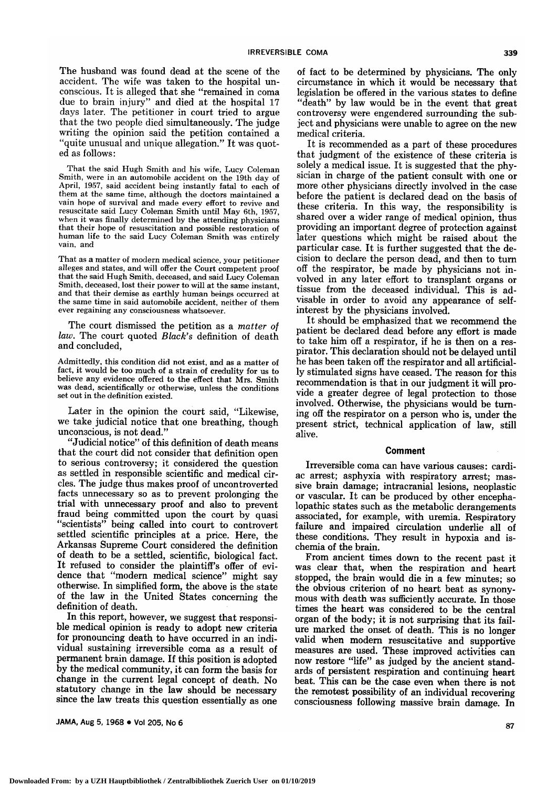The husband was found dead at the scene of the accident. The wife was taken to the hospital unconscious. It is alleged that she "remained in coma due to brain injury" and died at the hospital <sup>17</sup> days later. The petitioner in court tried to argue that the two people died simultaneously. The judge writing the opinion said the petition contained a "quite unusual and unique allegation." It was quoted as follows:

That the said Hugh Smith and his wife, Lucy Coleman Smith, were in an automobile accident on the 19th day of April, 1957, said accident being instantly fatal to each of them at the same time, although the doctors maintained a vain hope of survival and made every effort to revive and resuscitate said Lucy Coleman Smith until May 6th, 1957, when it was finally determined by the attending physicians that their hope of resuscitation and possible restoration of human life to the said Lucy Coleman Smith was entirely vain, and

That as <sup>a</sup> matter of modern medical science, your petitioner alleges and states, and will offer the Court competent proof that the said Hugh Smith, deceased, and said Lucy Coleman Smith, deceased, lost their power to will at the same instant, and that their demise as earthly human beings occurred at the same time in said automobile accident, neither of them ever regaining any consciousness whatsoever.

The court dismissed the petition as a matter of law. The court quoted Black's definition of death and concluded,

Admittedly, this condition did not exist, and as a matter of fact, it would be too much of <sup>a</sup> strain of credulity for us to believe any evidence offered to the effect that Mrs. Smith was dead, scientifically or otherwise, unless the conditions set out in the definition existed.

Later in the opinion the court said, "Likewise, we take judicial notice that one breathing, though unconscious, is not dead."

"Judicial notice" of this definition of death means that the court did not consider that definition open to serious controversy; it considered the question as settled in responsible scientific and medical circles. The judge thus makes proof of uncontroverted facts unnecessary so as to prevent prolonging the trial with unnecessary proof and also to prevent fraud being committed upon the court by quasi "scientists" being called into court to controvert settled scientific principles at <sup>a</sup> price. Here, the Arkansas Supreme Court considered the definition of death to be <sup>a</sup> settled, scientific, biological fact. It refused to consider the plaintiff's offer of evidence that "modern medical science" might say otherwise. In simplified form, the above is the state of the law in the United States concerning the definition of death.<br>In this report, however, we suggest that responsi-

ble medical opinion is ready to adopt new criteria for pronouncing death to have occurred in an individual sustaining irreversible coma as a result of permanent brain damage. If this position is adopted by the medical community, it can form the basis for change in the current legal concept of death. No statutory change in the law should be necessary since the law treats this question essentially as one of fact to be determined by physicians. The only circumstance in which it would be necessary that legislation be offered in the various states to define "death" by law would be in the event that great controversy were engendered surrounding the subject and physicians were unable to agree on the new medical criteria.

It is recommended as <sup>a</sup> part of these procedures that judgment of the existence of these criteria is solely a medical issue. It is suggested that the physician in charge of the patient consult with one or more other physicians directly involved in the case before the patient is declared dead on the basis of these criteria. In this way, the responsibility is shared over <sup>a</sup> wider range of medical opinion, thus providing an important degree of protection against later questions which might be raised about the particular case. It is further suggested that the decision to declare the person dead, and then to turn off the respirator, be made by physicians not involved in any later effort to transplant organs or tissue from the deceased individual. This is advisable in order to avoid any appearance of selfinterest by the physicians involved.

It should be emphasized that we recommend the patient be declared dead before any effort is made to take him off a respirator, if he is then on a respirator. This declaration should not be delayed until he has been taken off the respirator and all artificially stimulated signs have ceased. The reason for this recommendation is that in our judgment it will provide <sup>a</sup> greater degree of legal protection to those involved. Otherwise, the physicians would be turning off the respirator on <sup>a</sup> person who is, under the present strict, technical application of law, still alive.

#### Comment

Irreversible coma can have various causes: cardiac arrest; asphyxia with respiratory arrest; massive brain damage; intracranial lesions, neoplastic<br>or vascular. It can be produced by other encephalopathic states such as the metabolic derangements associated, for example, with uremia. Respiratory failure and impaired circulation underlie all of these conditions. They result in hypoxia and ischemia of the brain.

From ancient times down to the recent past it was clear that, when the respiration and heart stopped, the brain would die in <sup>a</sup> few minutes; so the obvious criterion of no heart beat as synonymous with death was sufficiently accurate. In those times the heart was considered to be the central organ of the body; it is not surprising that its fail-<br>ure marked the onset of death. This is no longer valid when modern resuscitative and supportive measures are used. These improved activities can now restore "life" as judged by the ancient standards of persistent respiration and continuing heart beat. This can be the case even when there is not the remotest possibility of an individual recovering consciousness following massive brain damage. In

JAMA, Aug 5, 1968 . Vol 205, No 6